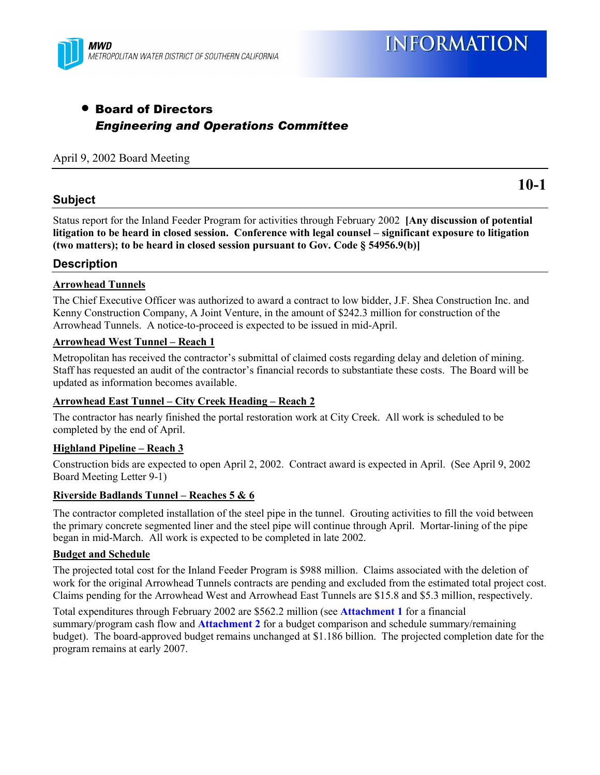

## • Board of Directors *Engineering and Operations Committee*

## April 9, 2002 Board Meeting

#### **Subject**

**10-1**

Status report for the Inland Feeder Program for activities through February 2002 **[Any discussion of potential** litigation to be heard in closed session. Conference with legal counsel – significant exposure to litigation **(two matters); to be heard in closed session pursuant to Gov. Code ß 54956.9(b)]**

#### **Description**

#### **Arrowhead Tunnels**

The Chief Executive Officer was authorized to award a contract to low bidder, J.F. Shea Construction Inc. and Kenny Construction Company, A Joint Venture, in the amount of \$242.3 million for construction of the Arrowhead Tunnels. A notice-to-proceed is expected to be issued in mid-April.

#### **Arrowhead West Tunnel – Reach 1**

Metropolitan has received the contractor's submittal of claimed costs regarding delay and deletion of mining. Staff has requested an audit of the contractor's financial records to substantiate these costs. The Board will be updated as information becomes available.

#### <u>**Arrowhead East Tunnel – City Creek Heading – Reach 2**</u>

The contractor has nearly finished the portal restoration work at City Creek. All work is scheduled to be completed by the end of April.

#### **Highland Pipeline – Reach 3**

Construction bids are expected to open April 2, 2002. Contract award is expected in April. (See April 9, 2002 Board Meeting Letter 9-1)

#### **Riverside Badlands Tunnel – Reaches 5 & 6**

The contractor completed installation of the steel pipe in the tunnel. Grouting activities to fill the void between the primary concrete segmented liner and the steel pipe will continue through April. Mortar-lining of the pipe began in mid-March. All work is expected to be completed in late 2002.

#### **Budget and Schedule**

The projected total cost for the Inland Feeder Program is \$988 million. Claims associated with the deletion of work for the original Arrowhead Tunnels contracts are pending and excluded from the estimated total project cost. Claims pending for the Arrowhead West and Arrowhead East Tunnels are \$15.8 and \$5.3 million, respectively.

Total expenditures through February 2002 are \$562.2 million (see **Attachment 1** for a financial summary/program cash flow and **Attachment 2** for a budget comparison and schedule summary/remaining budget). The board-approved budget remains unchanged at \$1.186 billion. The projected completion date for the program remains at early 2007.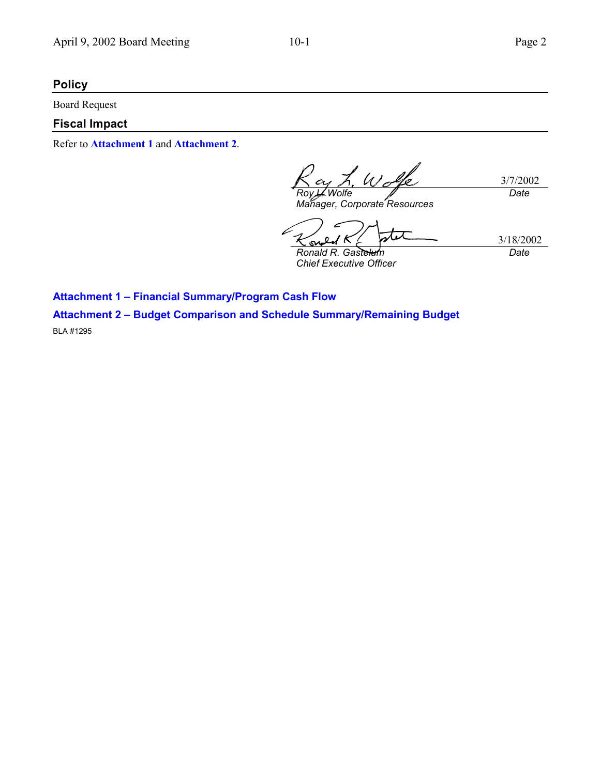## **Policy**

Board Request

## **Fiscal Impact**

Refer to **Attachment 1** and **Attachment 2**.

L. Wolfe 3/7/2002 *Roy L. Wolfe Date Manager, Corporate Resources*

- 6  $\infty$ 

3/18/2002 *Date*

*Ronald R. Gastelum Chief Executive Officer*

**Attachment 1 - Financial Summary/Program Cash Flow Attachment 2 - Budget Comparison and Schedule Summary/Remaining Budget** 

BLA #1295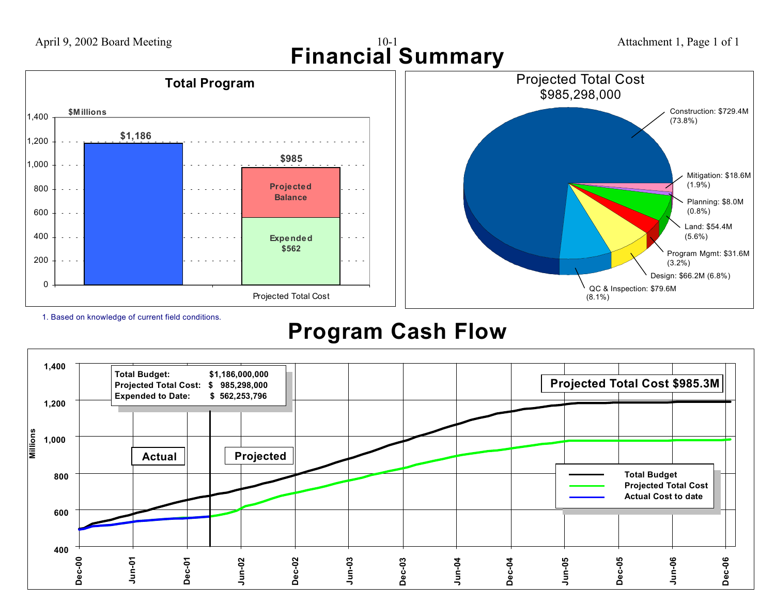

1. Based on knowledge of current field conditions.

# **Program Cash Flow**